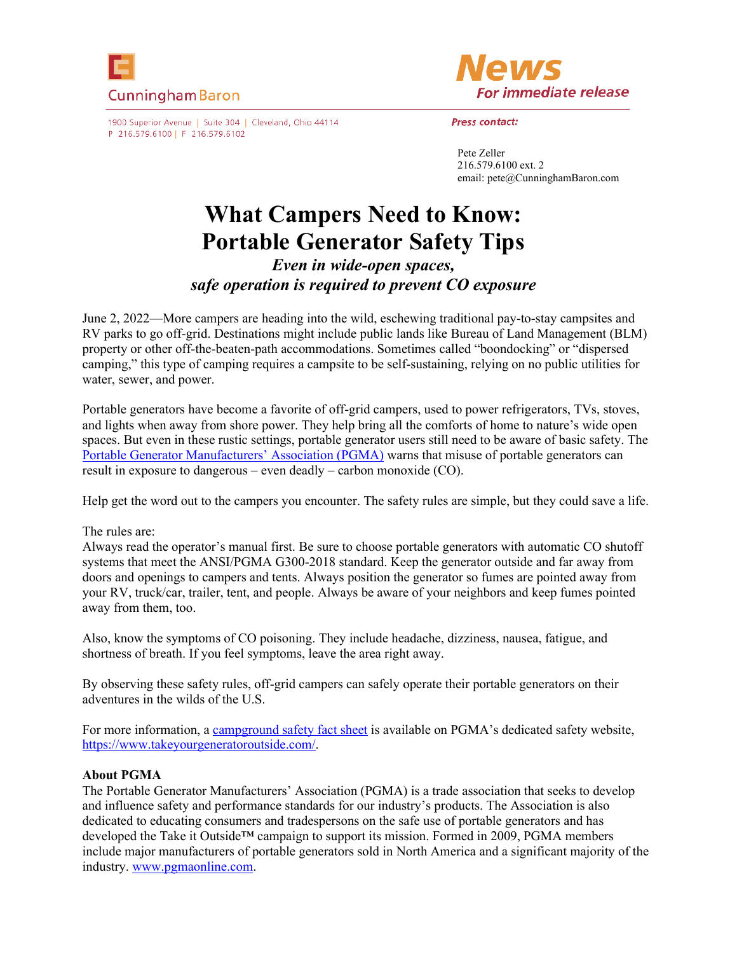



1900 Superior Avenue | Suite 304 | Cleveland, Ohio 44114 P 216.579.6100 | F 216.579.6102

Press contact:

Pete Zeller 216.579.6100 ext. 2 email: pete@CunninghamBaron.com

## **What Campers Need to Know: Portable Generator Safety Tips**

*Even in wide-open spaces, safe operation is required to prevent CO exposure* 

June 2, 2022—More campers are heading into the wild, eschewing traditional pay-to-stay campsites and RV parks to go off-grid. Destinations might include public lands like Bureau of Land Management (BLM) property or other off-the-beaten-path accommodations. Sometimes called "boondocking" or "dispersed camping," this type of camping requires a campsite to be self-sustaining, relying on no public utilities for water, sewer, and power.

Portable generators have become a favorite of off-grid campers, used to power refrigerators, TVs, stoves, and lights when away from shore power. They help bring all the comforts of home to nature's wide open spaces. But even in these rustic settings, portable generator users still need to be aware of basic safety. The Por[table Generator Manufacturers' Association \(PGMA\)](https://www.pgmaonline.com/default.asp) warns that misuse of portable generators can result in exposure to dangerous – even deadly – carbon monoxide (CO).

Help get the word out to the campers you encounter. The safety rules are simple, but they could save a life.

## The rules are:

Always read the operator's manual first. Be sure to choose portable generators with automatic CO shutoff systems that meet the ANSI/PGMA G300-2018 standard. Keep the generator outside and far away from doors and openings to campers and tents. Always position the generator so fumes are pointed away from your RV, truck/car, trailer, tent, and people. Always be aware of your neighbors and keep fumes pointed away from them, too.

Also, know the symptoms of CO poisoning. They include headache, dizziness, nausea, fatigue, and shortness of breath. If you feel symptoms, leave the area right away.

By observing these safety rules, off-grid campers can safely operate their portable generators on their adventures in the wilds of the U.S.

For more information, a ca[mpground safety fact sheet](https://www.takeyourgeneratoroutside.com/_includes/CamgroundSafetyFactSheet.pdf) is available on PGMA's dedicated safety website, http[s://www.takeyourgeneratoroutside.com/](https://www.takeyourgeneratoroutside.com/).

## **About PGMA**

The Portable Generator Manufacturers' Association (PGMA) is a trade association that seeks to develop and influence safety and performance standards for our industry's products. The Association is also dedicated to educating consumers and tradespersons on the safe use of portable generators and has developed the Take it Outside™ campaign to support its mission. Formed in 2009, PGMA members include major manufacturers of portable generators sold in North America and a significant majority of the industry. ww[w.pgmaonline.com](http://www.pgmaonline.com/).